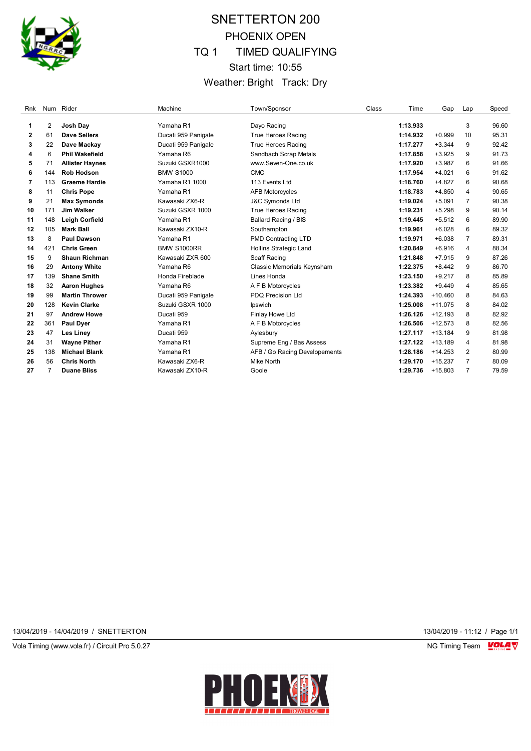

# SNETTERTON 200 PHOENIX OPEN TQ 1 TIMED QUALIFYING Start time: 10:55 Weather: Bright Track: Dry

| Rnk |     | Num Rider              | Machine             | Town/Sponsor                  | Class | Time     | Gap       | Lap            | Speed |
|-----|-----|------------------------|---------------------|-------------------------------|-------|----------|-----------|----------------|-------|
| 1   | 2   | Josh Day               | Yamaha R1           | Dayo Racing                   |       | 1:13.933 |           | 3              | 96.60 |
| 2   | 61  | Dave Sellers           | Ducati 959 Panigale | <b>True Heroes Racing</b>     |       | 1:14.932 | $+0.999$  | 10             | 95.31 |
| 3   | 22  | Dave Mackay            | Ducati 959 Panigale | <b>True Heroes Racing</b>     |       | 1:17.277 | $+3.344$  | 9              | 92.42 |
| 4   | 6   | <b>Phil Wakefield</b>  | Yamaha R6           | Sandbach Scrap Metals         |       | 1:17.858 | $+3.925$  | 9              | 91.73 |
| 5   | 71  | <b>Allister Haynes</b> | Suzuki GSXR1000     | www.Seven-One.co.uk           |       | 1:17.920 | $+3.987$  | 6              | 91.66 |
| 6   | 144 | <b>Rob Hodson</b>      | <b>BMW S1000</b>    | <b>CMC</b>                    |       | 1:17.954 | $+4.021$  | 6              | 91.62 |
| 7   | 113 | <b>Graeme Hardie</b>   | Yamaha R1 1000      | 113 Events Ltd                |       | 1:18.760 | $+4.827$  | 6              | 90.68 |
| 8   | 11  | <b>Chris Pope</b>      | Yamaha R1           | <b>AFB Motorcycles</b>        |       | 1:18.783 | $+4.850$  | 4              | 90.65 |
| 9   | 21  | <b>Max Symonds</b>     | Kawasaki ZX6-R      | <b>J&amp;C Symonds Ltd</b>    |       | 1:19.024 | $+5.091$  | $\overline{7}$ | 90.38 |
| 10  | 171 | <b>Jim Walker</b>      | Suzuki GSXR 1000    | <b>True Heroes Racing</b>     |       | 1:19.231 | $+5.298$  | 9              | 90.14 |
| 11  | 148 | <b>Leigh Corfield</b>  | Yamaha R1           | <b>Ballard Racing / BIS</b>   |       | 1:19.445 | $+5.512$  | 6              | 89.90 |
| 12  | 105 | <b>Mark Ball</b>       | Kawasaki ZX10-R     | Southampton                   |       | 1:19.961 | $+6.028$  | 6              | 89.32 |
| 13  | 8   | <b>Paul Dawson</b>     | Yamaha R1           | <b>PMD Contracting LTD</b>    |       | 1:19.971 | $+6.038$  | 7              | 89.31 |
| 14  | 421 | <b>Chris Green</b>     | <b>BMW S1000RR</b>  | <b>Hollins Strategic Land</b> |       | 1:20.849 | $+6.916$  | 4              | 88.34 |
| 15  | 9   | <b>Shaun Richman</b>   | Kawasaki ZXR 600    | Scaff Racing                  |       | 1:21.848 | $+7.915$  | 9              | 87.26 |
| 16  | 29  | <b>Antony White</b>    | Yamaha R6           | Classic Memorials Keynsham    |       | 1:22.375 | $+8.442$  | 9              | 86.70 |
| 17  | 139 | <b>Shane Smith</b>     | Honda Fireblade     | Lines Honda                   |       | 1:23.150 | $+9.217$  | 8              | 85.89 |
| 18  | 32  | <b>Aaron Hughes</b>    | Yamaha R6           | A F B Motorcycles             |       | 1:23.382 | $+9.449$  | 4              | 85.65 |
| 19  | 99  | <b>Martin Thrower</b>  | Ducati 959 Panigale | <b>PDQ Precision Ltd</b>      |       | 1:24.393 | $+10.460$ | 8              | 84.63 |
| 20  | 128 | <b>Kevin Clarke</b>    | Suzuki GSXR 1000    | Ipswich                       |       | 1:25.008 | $+11.075$ | 8              | 84.02 |
| 21  | 97  | <b>Andrew Howe</b>     | Ducati 959          | Finlay Howe Ltd               |       | 1:26.126 | $+12.193$ | 8              | 82.92 |
| 22  | 361 | <b>Paul Dyer</b>       | Yamaha R1           | A F B Motorcycles             |       | 1:26.506 | $+12.573$ | 8              | 82.56 |
| 23  | 47  | <b>Les Liney</b>       | Ducati 959          | Aylesbury                     |       | 1:27.117 | $+13.184$ | 9              | 81.98 |
| 24  | 31  | <b>Wayne Pither</b>    | Yamaha R1           | Supreme Eng / Bas Assess      |       | 1:27.122 | $+13.189$ | 4              | 81.98 |
| 25  | 138 | <b>Michael Blank</b>   | Yamaha R1           | AFB / Go Racing Developements |       | 1:28.186 | $+14.253$ | $\overline{2}$ | 80.99 |
| 26  | 56  | <b>Chris North</b>     | Kawasaki ZX6-R      | Mike North                    |       | 1:29.170 | $+15.237$ | 7              | 80.09 |
| 27  | 7   | <b>Duane Bliss</b>     | Kawasaki ZX10-R     | Goole                         |       | 1:29.736 | $+15.803$ | $\overline{7}$ | 79.59 |

13/04/2019 - 14/04/2019 / SNETTERTON 13/04/2019 - 11:12 / Page 1/1

Vola Timing (www.vola.fr) / Circuit Pro 5.0.27 **NG Timing Team Monet Account Property** 

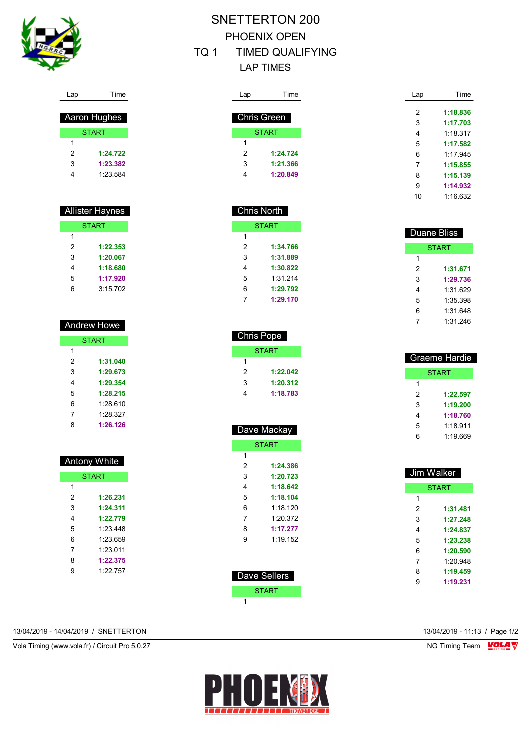

# SNETTERTON 200 PHOENIX OPEN

### TQ 1 TIMED QUALIFYING LAP TIMES

| Lap | Time               |  |
|-----|--------------------|--|
|     |                    |  |
|     | <b>Chris Green</b> |  |
|     | <b>START</b>       |  |
| 1   |                    |  |
| 2   | 1:24.724           |  |
| 3   | 1:21.366           |  |
|     | 1:20.849           |  |
|     |                    |  |

Chris North

 Chris Pope **START** 

> **1:22.042 1:20.312 1:18.783**

 Dave Mackay **START** 

> **1:24.386 1:20.723 1:18.642 1:18.104** 1:18.120 1:20.372 **1:17.277** 1:19.152

**START** 

 **1:34.766 1:31.889 1:30.822** 1:31.214 **1:29.792 1:29.170**

| Lap | Time     |
|-----|----------|
| 2   | 1:18.836 |
| 3   | 1:17.703 |
| 4   | 1:18.317 |
| 5   | 1:17.582 |
| 6   | 1.17945  |
| 7   | 1:15.855 |
| 8   | 1:15.139 |
| 9   | 1:14.932 |
| 10  | 1.16632  |

|   | Duane Bliss  |
|---|--------------|
|   | <b>START</b> |
| 1 |              |
| 2 | 1:31.671     |
| 3 | 1:29.736     |
| 4 | 1:31 629     |
| 5 | 1:35.398     |
| 6 | 1:31.648     |
| 7 | 1:31.246     |

|   | Graeme Hardie |
|---|---------------|
|   | START         |
| 1 |               |
| 2 | 1:22.597      |
| 3 | 1:19.200      |
| 4 | 1:18.760      |
| 5 | 1.18911       |
| 6 | 1.19 669      |

|   | Jim Walker   |
|---|--------------|
|   | <b>START</b> |
| 1 |              |
| 2 | 1:31.481     |
| 3 | 1:27.248     |
| 4 | 1:24.837     |
| 5 | 1:23.238     |
| 6 | 1:20.590     |
| 7 | 1:20.948     |
| 8 | 1:19.459     |
| 9 | 1:19.231     |
|   |              |

| Lap | Time                |
|-----|---------------------|
|     |                     |
|     | <b>Aaron Hughes</b> |
|     | <b>START</b>        |
| 1   |                     |
| 2   | 1:24.722            |
| 3   | 1:23.382            |

1:23.584

| <b>Allister Haynes</b> |              |  |
|------------------------|--------------|--|
|                        | <b>START</b> |  |
| 1                      |              |  |
| 2                      | 1:22.353     |  |
| 3                      | 1:20.067     |  |
| 4                      | 1:18.680     |  |
| 5                      | 1:17.920     |  |
| 6                      | 3:15.702     |  |

|   | <b>Andrew Howe</b> |
|---|--------------------|
|   | <b>START</b>       |
| 1 |                    |
| 2 | 1:31.040           |
| 3 | 1:29.673           |
| 4 | 1:29.354           |
| 5 | 1:28.215           |
| 6 | 1.28.610           |
| 7 | 1.28.327           |
| ጸ | 1:26.126           |
|   |                    |

| <b>Antony White</b> |              |  |
|---------------------|--------------|--|
|                     | <b>START</b> |  |
| 1                   |              |  |
| 2                   | 1:26.231     |  |
| 3                   | 1:24.311     |  |
| 4                   | 1:22.779     |  |
| 5                   | 1.23 448     |  |
| 6                   | 1.23 659     |  |
| 7                   | 1:23.011     |  |
| 8                   | 1:22.375     |  |
| g                   | 1:22.757     |  |
|                     |              |  |

 Dave Sellers **START** 

 $\overline{1}$ 

13/04/2019 - 14/04/2019 / SNETTERTON 13/04/2019 - 11:13 / Page 1/2

Vola Timing (www.vola.fr) / Circuit Pro 5.0.27 NG Timing Team NG Timing Team NG Timing Team NG Timing Team NG

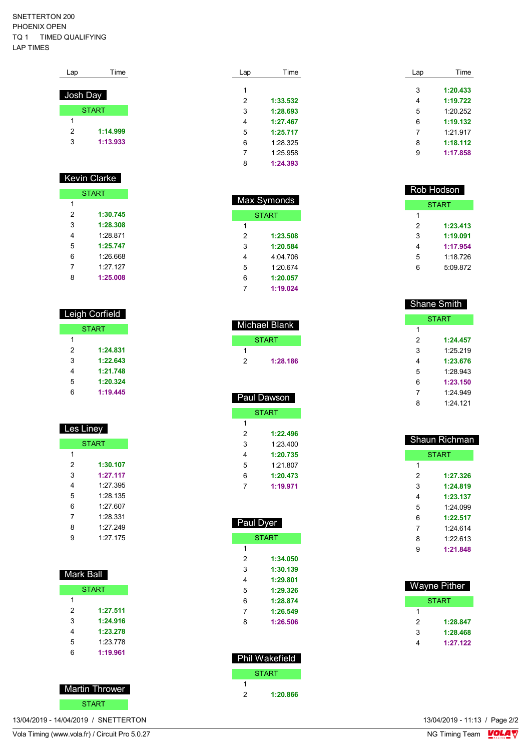SNETTERTON 200 PHOENIX OPEN TQ 1 TIMED QUALIFYING LAP TIMES

| Lap      | Time         |
|----------|--------------|
| Josh Day |              |
|          | <b>START</b> |
| 1        |              |
| 2        | 1:14.999     |
| 3        | 1:13.933     |
|          |              |

#### Kevin Clarke

| <b>START</b> |          |  |
|--------------|----------|--|
| 1            |          |  |
| 2            | 1:30.745 |  |
| 3            | 1:28.308 |  |
| 4            | 1.28871  |  |
| 5            | 1:25.747 |  |
| 6            | 1.26.668 |  |
| 7            | 1.27.127 |  |
| ጸ            | 1:25.008 |  |

### Leigh Corfield

|   | <b>START</b> |
|---|--------------|
| 1 |              |
| 2 | 1:24.831     |
| 3 | 1:22.643     |
| 4 | 1:21.748     |
| 5 | 1:20.324     |
| 6 | 1:19.445     |

| Les Liney |              |  |
|-----------|--------------|--|
|           | <b>START</b> |  |
| 1         |              |  |
| 2         | 1:30.107     |  |
| 3         | 1:27.117     |  |
| 4         | 1:27.395     |  |
| 5         | 1.28.135     |  |
| 6         | 1.27 607     |  |
| 7         | 1:28.331     |  |
| 8         | 1.27 249     |  |
| g         | 1.27 175     |  |
|           |              |  |

| Mark Ball |              |  |
|-----------|--------------|--|
|           | <b>START</b> |  |
| 1         |              |  |
| 2         | 1:27.511     |  |
| 3         | 1:24.916     |  |
| 4         | 1:23.278     |  |
| 5         | 1:23.778     |  |
| 6         | 1:19.961     |  |
|           |              |  |



| 1/2019 - 14/04/2019 / SNFTTFRT( |  |  |
|---------------------------------|--|--|

Vola Timing (www.vola.fr) / Circuit Pro 5.0.27 NG Timing Team NG Timing Team NG Timing Team NG Timing Team NG

| Lap | Time     | Lap | Time     |
|-----|----------|-----|----------|
| 1   |          | 3   | 1:20.433 |
|     |          |     |          |
| 2   | 1:33.532 | 4   | 1:19.722 |
| 3   | 1:28.693 | 5   | 1:20.252 |
| 4   | 1:27.467 | 6   | 1:19.132 |
| 5   | 1:25.717 | 7   | 1:21.917 |
| 6   | 1:28.325 | 8   | 1:18.112 |
| 7   | 1:25.958 | 9   | 1:17.858 |
| 8   | 1:24.393 |     |          |

| Max Symonds  |          |  |
|--------------|----------|--|
| <b>START</b> |          |  |
| 1            |          |  |
| 2            | 1:23.508 |  |
| 3            | 1:20.584 |  |
| 4            | 4:04 706 |  |
| 5            | 1:20.674 |  |
| 6            | 1:20.057 |  |
| 7            | 1:19.024 |  |

ſ

| Michael Blank |          |  |
|---------------|----------|--|
|               | START    |  |
|               |          |  |
| 2             | 1:28.186 |  |
|               |          |  |

| Paul Dawson |              |  |
|-------------|--------------|--|
|             | <b>START</b> |  |
| 1           |              |  |
| 2           | 1:22.496     |  |
| 3           | 1:23.400     |  |
| 4           | 1:20.735     |  |
| 5           | 1:21.807     |  |
| 6           | 1:20.473     |  |
|             | 1:19.971     |  |

| Paul Dyer |                       |  |
|-----------|-----------------------|--|
|           | <b>START</b>          |  |
| 1         |                       |  |
| 2         | 1:34.050              |  |
| 3         | 1:30.139              |  |
| 4         | 1:29.801              |  |
| 5         | 1:29.326              |  |
| 6         | 1:28.874              |  |
| 7         | 1:26.549              |  |
| 8         | 1:26.506              |  |
|           |                       |  |
|           | <b>Phil Wakefield</b> |  |
|           | <b>START</b>          |  |

|   | Phil Wakefield |
|---|----------------|
|   | <b>START</b>   |
|   |                |
| 2 | 1:20.866       |

| Rob Hodson |          |  |
|------------|----------|--|
|            | START    |  |
| 1          |          |  |
| 2          | 1:23.413 |  |
| 3          | 1:19.091 |  |
| 4          | 1:17.954 |  |
| 5          | 1.18 726 |  |
| հ          | 5:09 872 |  |

| <b>Shane Smith</b> |              |  |
|--------------------|--------------|--|
|                    | <b>START</b> |  |
| 1                  |              |  |
| 2                  | 1:24.457     |  |
| 3                  | 1.25219      |  |
| 4                  | 1:23.676     |  |
| 5                  | 1.28.943     |  |
| 6                  | 1:23.150     |  |
| 7                  | 1.24.949     |  |
| 8                  | 1.24 121     |  |

|              | Shaun Richman |  |  |  |  |  |  |  |
|--------------|---------------|--|--|--|--|--|--|--|
| <b>START</b> |               |  |  |  |  |  |  |  |
| 1            |               |  |  |  |  |  |  |  |
| 2            | 1:27.326      |  |  |  |  |  |  |  |
| 3            | 1:24.819      |  |  |  |  |  |  |  |
| 4            | 1:23.137      |  |  |  |  |  |  |  |
| 5            | 1.24099       |  |  |  |  |  |  |  |
| 6            | 1:22.517      |  |  |  |  |  |  |  |
| 7            | 1.24 614      |  |  |  |  |  |  |  |
| 8            | 1:22.613      |  |  |  |  |  |  |  |
| 9            | 1:21.848      |  |  |  |  |  |  |  |
|              |               |  |  |  |  |  |  |  |

| Wayne Pither |          |  |  |  |  |  |
|--------------|----------|--|--|--|--|--|
|              | START    |  |  |  |  |  |
| 1            |          |  |  |  |  |  |
| 2            | 1:28.847 |  |  |  |  |  |
| 3            | 1:28,468 |  |  |  |  |  |
|              | 1:27.122 |  |  |  |  |  |

VolaSoftControlPdf 13/04/2019 - 14/04/2019 / SNETTERTON 13/04/2019 - 11:13 / Page 2/2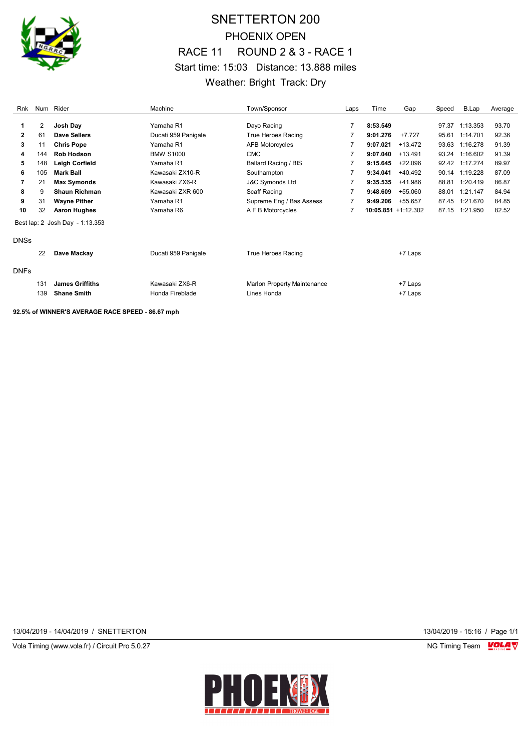

## SNETTERTON 200 PHOENIX OPEN RACE 11 ROUND 2 & 3 - RACE 1 Start time: 15:03 Distance: 13.888 miles Weather: Bright Track: Dry

| Rnk          |     | Num Rider                       | Machine             | Town/Sponsor                       | Laps | Time     | Gap                    | Speed | B.Lap          | Average |
|--------------|-----|---------------------------------|---------------------|------------------------------------|------|----------|------------------------|-------|----------------|---------|
| 1            | 2   | Josh Day                        | Yamaha R1           | Dayo Racing                        | 7    | 8:53.549 |                        | 97.37 | 1:13.353       | 93.70   |
| $\mathbf{2}$ | 61  | Dave Sellers                    | Ducati 959 Panigale | True Heroes Racing                 |      | 9:01.276 | $+7.727$               | 95.61 | 1:14.701       | 92.36   |
|              |     |                                 |                     |                                    |      |          |                        |       |                |         |
| 3            | 11  | <b>Chris Pope</b>               | Yamaha R1           | <b>AFB Motorcycles</b>             | 7    | 9:07.021 | +13.472                | 93.63 | 1:16.278       | 91.39   |
| 4            | 144 | <b>Rob Hodson</b>               | <b>BMW S1000</b>    | <b>CMC</b>                         | 7    | 9:07.040 | $+13.491$              | 93.24 | 1:16.602       | 91.39   |
| 5            | 148 | Leigh Corfield                  | Yamaha R1           | Ballard Racing / BIS               |      | 9:15.645 | $+22.096$              |       | 92.42 1:17.274 | 89.97   |
| 6            | 105 | <b>Mark Ball</b>                | Kawasaki ZX10-R     | Southampton                        | 7    | 9:34.041 | $+40.492$              | 90.14 | 1:19.228       | 87.09   |
|              | 21  | <b>Max Symonds</b>              | Kawasaki ZX6-R      | J&C Symonds Ltd                    |      | 9:35.535 | +41.986                | 88.81 | 1:20.419       | 86.87   |
| 8            | 9   | <b>Shaun Richman</b>            | Kawasaki ZXR 600    | Scaff Racing                       |      | 9:48.609 | +55.060                | 88.01 | 1:21.147       | 84.94   |
| 9            | 31  | <b>Wayne Pither</b>             | Yamaha R1           | Supreme Eng / Bas Assess           |      | 9:49.206 | +55.657                | 87.45 | 1:21.670       | 84.85   |
| 10           | 32  | <b>Aaron Hughes</b>             | Yamaha R6           | A F B Motorcycles                  | 7    |          | $10:05.851 + 1:12.302$ |       | 87.15 1:21.950 | 82.52   |
|              |     | Best lap: 2 Josh Day - 1:13.353 |                     |                                    |      |          |                        |       |                |         |
| <b>DNSs</b>  |     |                                 |                     |                                    |      |          |                        |       |                |         |
|              | 22  | Dave Mackay                     | Ducati 959 Panigale | True Heroes Racing                 |      |          | +7 Laps                |       |                |         |
| <b>DNFs</b>  |     |                                 |                     |                                    |      |          |                        |       |                |         |
|              | 131 | <b>James Griffiths</b>          | Kawasaki ZX6-R      | <b>Marlon Property Maintenance</b> |      |          | +7 Laps                |       |                |         |
|              | 139 | <b>Shane Smith</b>              | Honda Fireblade     | Lines Honda                        |      |          |                        |       |                |         |
|              |     |                                 |                     |                                    |      |          | +7 Laps                |       |                |         |

**92.5% of WINNER'S AVERAGE RACE SPEED - 86.67 mph**

13/04/2019 - 14/04/2019 / SNETTERTON 13/04/2019 - 15:16 / Page 1/1

Vola Timing (www.vola.fr) / Circuit Pro 5.0.27 **NG Timing Team MOLA View Area** NG Timing Team MOLA View Area NG Timing Team MOLA View Area NG Timing Team MOLA View Area NG Timing Team MOLA View Area NG Timing Team MOLA Vie

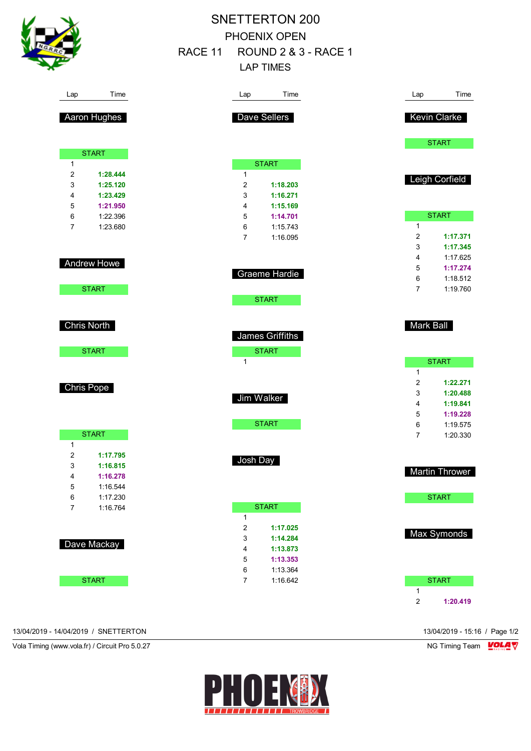|                  |                    |         |                     | <b>SNETTERTON 200</b>           |                  |                      |
|------------------|--------------------|---------|---------------------|---------------------------------|------------------|----------------------|
|                  |                    |         |                     | PHOENIX OPEN                    |                  |                      |
|                  |                    | RACE 11 |                     | <b>ROUND 2 &amp; 3 - RACE 1</b> |                  |                      |
|                  |                    |         |                     | <b>LAP TIMES</b>                |                  |                      |
|                  |                    |         |                     |                                 |                  |                      |
| Lap              | Time               |         | Lap                 | Time                            | Lap              | Time                 |
|                  | Aaron Hughes       |         |                     | Dave Sellers                    |                  | <b>Kevin Clarke</b>  |
|                  |                    |         |                     |                                 |                  | <b>START</b>         |
| $\mathbf{1}$     | <b>START</b>       |         |                     | <b>START</b>                    |                  |                      |
| $\overline{2}$   | 1:28.444           |         | $\mathbf{1}$        |                                 |                  |                      |
| 3                | 1:25.120           |         | $\overline{2}$      | 1:18.203                        |                  | Leigh Corfield       |
| 4                | 1:23.429           |         | 3                   | 1:16.271                        |                  |                      |
| 5                | 1:21.950           |         | 4                   | 1:15.169                        |                  |                      |
| 6                | 1:22.396           |         | 5                   | 1:14.701                        |                  | <b>START</b>         |
| $\overline{7}$   | 1:23.680           |         | 6<br>$\overline{7}$ | 1:15.743<br>1:16.095            | 1<br>2           | 1:17.371             |
|                  |                    |         |                     |                                 | 3                | 1:17.345             |
|                  |                    |         |                     |                                 | 4                | 1:17.625             |
|                  | Andrew Howe        |         |                     |                                 | 5                | 1:17.274             |
|                  |                    |         |                     | Graeme Hardie                   | 6                | 1:18.512             |
|                  | <b>START</b>       |         |                     |                                 | 7                | 1:19.760             |
|                  |                    |         |                     | <b>START</b>                    |                  |                      |
|                  | <b>Chris North</b> |         |                     |                                 | <b>Mark Ball</b> |                      |
|                  |                    |         |                     | <b>James Griffiths</b>          |                  |                      |
|                  | <b>START</b>       |         |                     | <b>START</b>                    |                  |                      |
|                  |                    |         | $\mathbf{1}$        |                                 |                  | <b>START</b>         |
|                  |                    |         |                     |                                 | $\mathbf{1}$     |                      |
|                  | Chris Pope         |         |                     |                                 | 2                | 1:22.271             |
|                  |                    |         |                     | Jim Walker                      | 3                | 1:20.488             |
|                  |                    |         |                     |                                 | 4                | 1:19.841             |
|                  |                    |         |                     | <b>START</b>                    | 5                | 1:19.228             |
|                  | <b>START</b>       |         |                     |                                 | 6<br>7           | 1:19.575<br>1:20.330 |
| $\mathbf{1}$     |                    |         |                     |                                 |                  |                      |
| $\boldsymbol{2}$ | 1:17.795           |         |                     |                                 |                  |                      |
| 3                | 1:16.815           |         | Josh Day            |                                 |                  |                      |
| 4                | 1:16.278           |         |                     |                                 |                  | Martin Thrower       |
| 5                | 1:16.544           |         |                     |                                 |                  |                      |
| 6                | 1:17.230           |         |                     |                                 |                  | <b>START</b>         |
| $\overline{7}$   | 1:16.764           |         |                     | <b>START</b>                    |                  |                      |
|                  |                    |         | $\mathbf{1}$<br>2   | 1:17.025                        |                  |                      |
|                  |                    |         | 3                   | 1:14.284                        |                  | Max Symonds          |
|                  | Dave Mackay        |         | 4                   | 1:13.873                        |                  |                      |
|                  |                    |         | 5                   | 1:13.353                        |                  |                      |
|                  |                    |         | 6                   | 1:13.364                        |                  |                      |
|                  | <b>START</b>       |         | $\overline{7}$      | 1:16.642                        |                  | <b>START</b>         |
|                  |                    |         |                     |                                 | $\mathbf{1}$     |                      |
|                  |                    |         |                     |                                 | 2                | 1:20.419             |
|                  |                    |         |                     |                                 |                  |                      |

13/04/2019 - 14/04/2019 / SNETTERTON 13/04/2019 - 15:16 / Page 1/2

Vola Timing (www.vola.fr) / Circuit Pro 5.0.27 NG Timing Team **MOLA** 

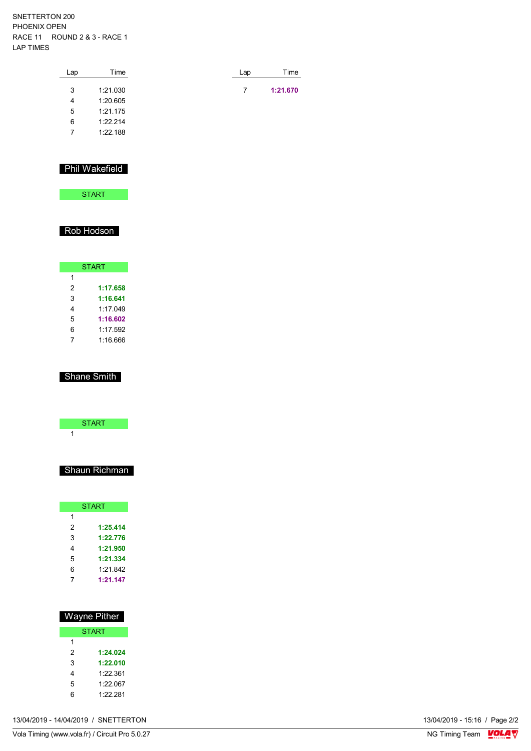SNETTERTON 200 PHOENIX OPEN RACE 11 ROUND 2 & 3 - RACE 1 LAP TIMES

| Lap | Time     | Lap | Time     |
|-----|----------|-----|----------|
| 3   | 1:21.030 | 7   | 1:21.670 |
| 4   | 1:20.605 |     |          |
| 5   | 1:21.175 |     |          |
| 6   | 1:22.214 |     |          |
| 7   | 1:22.188 |     |          |
|     |          |     |          |

#### Phil Wakefield

**START** 

### Rob Hodson

| <b>START</b> |          |  |  |  |  |  |
|--------------|----------|--|--|--|--|--|
| 1            |          |  |  |  |  |  |
| 2            | 1:17.658 |  |  |  |  |  |
| 3            | 1:16.641 |  |  |  |  |  |
| 4            | 1.17049  |  |  |  |  |  |
| 5            | 1:16.602 |  |  |  |  |  |
| 6            | 1:17.592 |  |  |  |  |  |
|              | 1:16.666 |  |  |  |  |  |

#### Shane Smith

### Shaun Richman

|   | <b>START</b> |
|---|--------------|
| 1 |              |
| 2 | 1:25.414     |
| 3 | 1:22.776     |
| 4 | 1:21.950     |
| 5 | 1:21.334     |
| 6 | 1.21.842     |
| 7 | 1:21.147     |

| Wayne Pither |          |  |  |  |  |  |  |  |
|--------------|----------|--|--|--|--|--|--|--|
| <b>START</b> |          |  |  |  |  |  |  |  |
| 1            |          |  |  |  |  |  |  |  |
| 2            | 1:24.024 |  |  |  |  |  |  |  |
| 3            | 1:22.010 |  |  |  |  |  |  |  |
| 4            | 1.22.361 |  |  |  |  |  |  |  |
| 5            | 1.22 067 |  |  |  |  |  |  |  |
| հ            | 1.22.281 |  |  |  |  |  |  |  |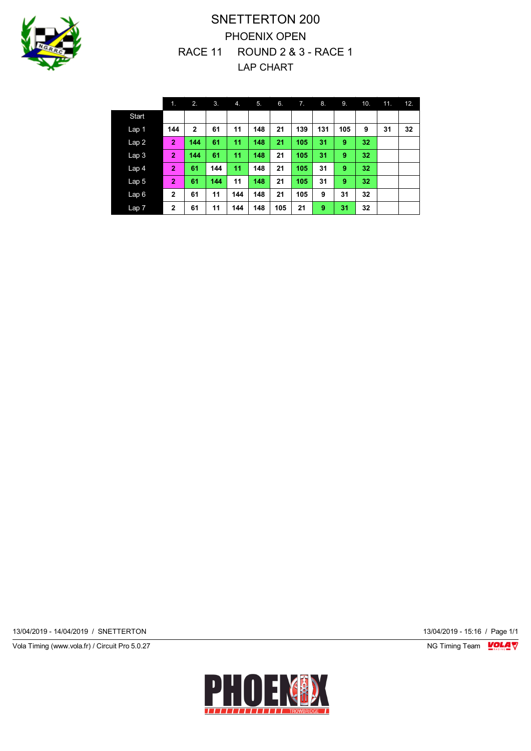

# SNETTERTON 200 PHOENIX OPEN RACE 11 ROUND 2 & 3 - RACE 1 LAP CHART

|                  | 1.             | 2.           | 3.  | 4.  | 5.  | 6.  | 7.  | 8.  | 9.  | 10. | 11. | 12. |
|------------------|----------------|--------------|-----|-----|-----|-----|-----|-----|-----|-----|-----|-----|
| Start            |                |              |     |     |     |     |     |     |     |     |     |     |
| Lap 1            | 144            | $\mathbf{2}$ | 61  | 11  | 148 | 21  | 139 | 131 | 105 | 9   | 31  | 32  |
| Lap2             | $\overline{2}$ | 144          | 61  | 11  | 148 | 21  | 105 | 31  | 9   | 32  |     |     |
| Lap <sub>3</sub> | $\overline{2}$ | 144          | 61  | 11  | 148 | 21  | 105 | 31  | 9   | 32  |     |     |
| Lap <sub>4</sub> | $\overline{2}$ | 61           | 144 | 11  | 148 | 21  | 105 | 31  | 9   | 32  |     |     |
| Lap <sub>5</sub> | $\overline{2}$ | 61           | 144 | 11  | 148 | 21  | 105 | 31  | 9   | 32  |     |     |
| Lap6             | $\overline{2}$ | 61           | 11  | 144 | 148 | 21  | 105 | 9   | 31  | 32  |     |     |
| Lap 7            | $\overline{2}$ | 61           | 11  | 144 | 148 | 105 | 21  | 9   | 31  | 32  |     |     |

13/04/2019 - 14/04/2019 / SNETTERTON 13/04/2019 - 15:16 / Page 1/1

Vola Timing (www.vola.fr) / Circuit Pro 5.0.27 **NG Timing Team Monet Account Property**